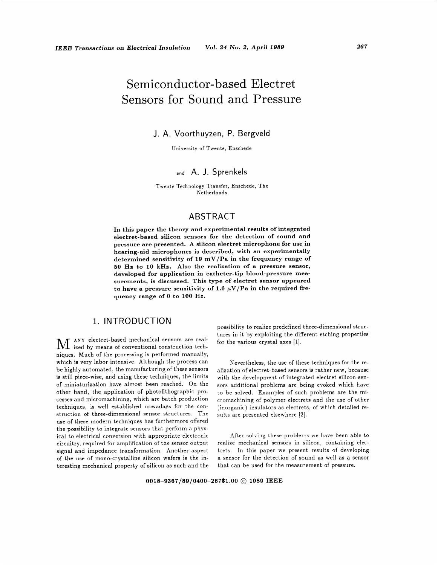# Semiconductor-based Electret Sensors for Sound and Pressure

## J. A. Voorthuyzen, P. Bergveld

University of Twente, Enschede

## **and** A. J. Sprenkels

Twente Technology Transfer, Enschede, The Netherlands

# ABSTRACT

**In this paper the theory and experimental results of integrated electret-based silicon sensors for the detection of sound and pressure are presented. A silicon electret microphone for use in hearing-aid microphones is described, with an experimentally determined sensitivity of 19 mV/Pa in the frequency range of 50** *Ha* **to 10 kHz. Also the realization of a pressure sensor, developed for application in catheter-tip blood-pressure measurements, is discussed. This type of electret sensor appeared**  to have a pressure sensitivity of 1.6  $\mu$ V/Pa in the required fre**quency range of 0 to 100** Hz.

# 1. INTRODUCTION

**M** ANY electret-based mechanical sensors are real-<br>ized by means of conventional construction techniques. Much of the processing is performed manually, which is very labor intensive. Although the process can be highly automated, the manufacturing of these sensors is still piece-wise, and using these techniques, the limits of miniaturization have almost been reached. On the other hand, the application of photolithographic processes and micromachining, which are batch production techniques, is well established nowadays for the construction of three-dimensional sensor structures. The use of these modern techniques has furthermore offered the possibility to integrate sensors that perform **a** physical to electrical conversion with appropriate electronic circuitry, required for amplification of the sensor output signal and impedance transformation. Another aspect of the use of mono-crystalline silicon wafers is the interesting mechanical property of silicon **as** such and the

possibility to realize predefined three-dimensional structures in it by exploiting the different etching properties for the various crystal axes [l].

Nevertheless, the use of these techniques for the realization of electret-based sensors is rather new, because with the development of integrated electret silicon sensors additional problems are being evoked which have to be solved. Examples of such problems are the micromachining of polymer electrets and the use of other (inorganic) insulators **as** electrets, of which detailed results are presented elsewhere [2].

After solving these problems we have been able to realize mechanical sensors in silicon, containing electrets. In this paper we present results of developing **a** sensor for the detection of sound **as** well **as** a sensor that can be used for the measurement of pressure.

**0018-9367/89/0400-267\$1.00** @ **1989 IEEE**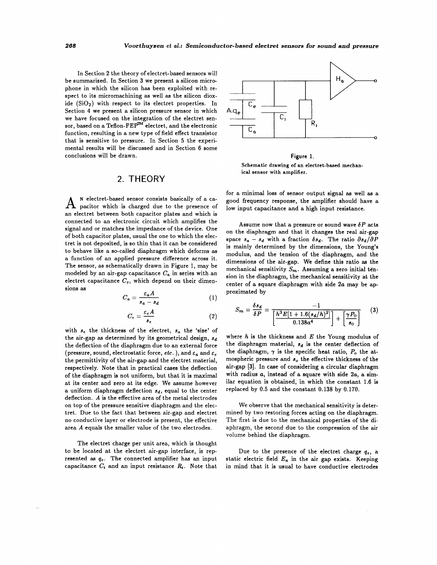<span id="page-1-0"></span>In Section 2 the theory of electret-based sensors will be summarized. In Section 3 we present a silicon microphone in which the silicon has been exploited with respect to its micromachining as well **as** the silicon dioxide  $(SiO<sub>2</sub>)$  with respect to its electret properties. In Section **4** we present a silicon pressure sensor in which we have focused on the integration of the electret sensor, based on a Teflon-FEP<sup>TM</sup> electret, and the electronic function, resulting in **a** new type of field effect transistor that is sensitive to pressure. In Section 5 the experimental results will be discussed and in Section **6** some conclusions will be drawn.

## 2. THEORY

A <sup>N</sup>electret-based sensor consists basically of a ca-<br>A pacitor which is charged due to the presence of an electret between both capacitor plates and which is connected to an electronic circuit which amplifies the signal and or matches the impedance of the device. One of both capacitor plates, usual the one to which the electret is not deposited, is **so** thin that it can be considered to behave like a so-called diaphragm which deforms as **a** function of an applied pressure difference across it. The sensor, **as** schematically drawn in Figure 1, may be modeled by an air-gap capacitance  $C_a$  in series with an electret capacitance  $C_e$ , which depend on their dimensions as is so thin that it can be considered<br>alled diaphragm which deforms as<br>blied pressure difference across it.<br>atically drawn in Figure 1, may be<br>p capacitance  $C_a$  in series with an<br> $C_e$ , which depend on their dimen-<br> $C_a = \frac{\$ 

$$
C_a = \frac{\varepsilon_a A}{s_a - s_d} \tag{1}
$$

$$
C_e = \frac{\varepsilon_e A}{s_e} \tag{2}
$$

with **se** the thickness of the electret, *sa* the 'size' of the air-gap **as** determined by its geometrical design, *sd*  the deflection of the diaphragm due to an external force (pressure, sound, electrostatic force, *etc.*), and  $\varepsilon_a$  and  $\varepsilon_e$ the permittivity of the air-gap and the electret material, respectively. Note that in practical cases the deflection of the diaphragm is not uniform, but that it is maximal at its center and zero at its edge. We assume however a uniform diaphragm deflection *sd,* equal to the center deflection. A is the effective area of the metal electrodes on top of the pressure sensitive diaphragm and the electret. Due to the fact that between air-gap and electret no conductive layer or electrode is present, the effective area A equals the smaller value of the two electrodes.

The electret charge per unit area, which is thought to be located at the electret air-gap interface, is represented **as** *q,.* The connected amplifier has an input capacitance  $C_i$  and an input resistance  $R_i$ . Note that



#### Figure 1.

Schematic drawing **of** an electret-based mechanical sensor with amplifier.

for a minimal loss of sensor output signal **as** well **as** a good frequency response, the amplifier should have a low input capacitance and a high input resistance.

Assume now that a pressure or sound wave  $\delta P$  acts on the diaphragm and that it changes the real air-gap space  $s_a - s_d$  with a fraction  $\delta s_d$ . The ratio  $\partial s_d/\partial P$ is mainly determined by the dimensions, the Young's modulus, and the tension of the diaphragm, and the dimensions of the air-gap. We define this ratio **as** the mechanical sensitivity  $S_m$ . Assuming a zero initial tension in the diaphragm, the mechanical sensitivity at the center of a square diaphragm with side *2a* may be approximated by

$$
S_m = \frac{\delta s_d}{\delta P} = \frac{-1}{\left[\frac{h^3 E[1 + 1.6(s_d/h)^2]}{0.138a^4}\right] + \left[\frac{\gamma P_0}{s_0}\right]}
$$
(3)

where h is the thickness and **E** the Young modulus of the diaphragm material,  $s_d$  is the center deflection of the diaphragm,  $\gamma$  is the specific heat ratio,  $P_o$  the atmospheric pressure and  $s_o$  the effective thickness of the air-gap **[3].** In case of considering a circular diaphragm with radius *a*, instead of a square with side 2*a*, a similar equation is obtained, in which the constant **1.6** is replaced by 0.5 and the constant 0.138 by **0.170.** 

We observe that the mechanical sensitivity is determined by two restoring forces acting on the diaphragm. The first is due to the mechanical properties of the diaphragm, the second due to the compression of the air volume behind the diaphragm.

Due to the presence of the electret charge  $q_e$ , a static electric field  $E_a$  in the air gap exists. Keeping in mind that it is usual to have conductive electrodes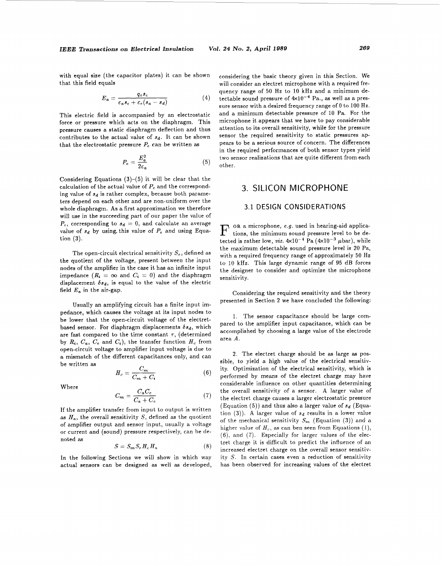with equal size (the capacitor plates) it can be shown that this field equals

$$
E_a = \frac{q_e s_e}{\varepsilon_a s_e + \varepsilon_e (s_a - s_d)}\tag{4}
$$

This electric field is accompanied by an electrostatic force or pressure which acts on the diaphragm. This pressure causes a static diaphragm deflection and thus contributes to the actual value of  $s_d$ . It can be shown that the electrostatic pressure  $P_e$  can be written as<br>  $P_e = \frac{E_a^2}{2\epsilon_a}$  (5)

$$
P_e = \frac{E_a^2}{2\varepsilon_a} \tag{5}
$$

Considering Equations **(3)-(5)** it will be clear that the calculation of the actual value of  $P_e$  and the corresponding value of  $s_d$  is rather complex, because both parameters depend on each other and are non-uniform over the whole diaphragm. **As** a first approximation we therefore will use in the succeeding part of our paper the value of  $P_e$ , corresponding to  $s_d = 0$ , and calculate an average value of  $s_d$  by using, this value of  $P_e$  and using Equation **(3).** 

The open-circuit electrical sensitivity  $S_e$ , defined as the quotient of the voltage, present between the input nodes of the amplifier in the case it has an infinite input impedance  $(R_i = \infty$  and  $C_i = 0)$  and the diaphragm displacement  $\delta s_d$ , is equal to the value of the electric field  $E_a$  in the air-gap.

Usually an amplifying circuit has a finite input impedance, which causes the voltage at its input nodes to be lower that the open-circuit voltage of the electretbased sensor. For diaphragm displacements  $\delta s_d$ , which are fast compared to the time constant  $\tau$ , (determined by  $R_i$ ,  $C_a$ ,  $C_e$  and  $C_i$ ), the transfer function  $H_c$  from open-circuit voltage to amplifier input voltage **is** due to **a** mismatch of the different capacitances only, and can be written **as** 

$$
H_c = \frac{C_m}{C_m + C_i} \tag{6}
$$

Where

$$
C_m = \frac{C_a C_e}{C_a + C_e} \tag{7}
$$

If the amplifier transfer from input to output is written as  $H_a$ , the overall sensitivity  $S$ , defined as the quotient of amplifier output and sensor input, usually **a** voltage or current and (sound) pressure respectively, can be denoted **as** 

$$
S = S_m S_e H_c H_a \tag{8}
$$

In the following Sections we will show in which way actual sensors can be designed as well **as** developed, considering the basic theory given in this Section. We will consider an electret microphone with a required frequency range of 50 Hz to 10 **kHz** and a minimum detectable sound pressure of  $4 \times 10^{-4}$  Pa., as well as a pressure sensor with **a** desired frequency range of 0 to 100 Hz. and **a** minimum detectable pressure of 10 Pa. For the microphone it appears that we have to pay considerable attention to its overall sensitivity, while for the pressure sensor the required sensitivity to static pressures appears to be a serious source of concern. The differences in the required performances of both sensor types yield two sensor realizations that are quite different from each other.

## **3.** SILICON MICROPHONE

## 3.1 DESIGN CONSIDERATIONS

OR a microphone, **e.g.** used in hearing-aid applica- F tions, the minimum sound pressure level to be detected is rather low, *viz.*  $4 \times 10^{-4}$  Pa  $(4 \times 10^{-3} \mu \text{bar})$ , while the maximum detectable sound pressure level is 20 Pa, with a required frequency range of approximately **50** Hz to 10 kHz. This large dynamic range of **95** dB forces the designer to consider and optimize the microphone sensitivity.

Considering the required sensitivity and the theory presented in Section 2 we have concluded the following:

1. The sensor capacitance should be large compared to the amplifier input capacitance, which can be accomplished by choosing a large value of the electrode area *A.* 

2. The electret charge should be as large **as** possible, to yield a high value of the electrical sensitivity. Optimization of the electrical sensitivity, which is performed by means of the electret charge may have considerable influence on other quantities determining the overall sensitivity of a sensor. **A** larger value of the electret charge causes a larger electrostatic pressure (Equation (5)) and thus also a larger value of *3d* (Equation  $(3)$ ). A larger value of  $s_d$  results in a lower value of the mechanical sensitivity  $S_m$  (Equation (3)) and a higher value of  $H_c$ , as can ben seen from Equations (1), (6), and (7). Especially for larger values of the electret charge it is difficult to predict the influence of an increased electret charge on the overall sensor sensitivity *S.* In certain cases even **a** reduction of sensitivity has been observed for increasing values of the electret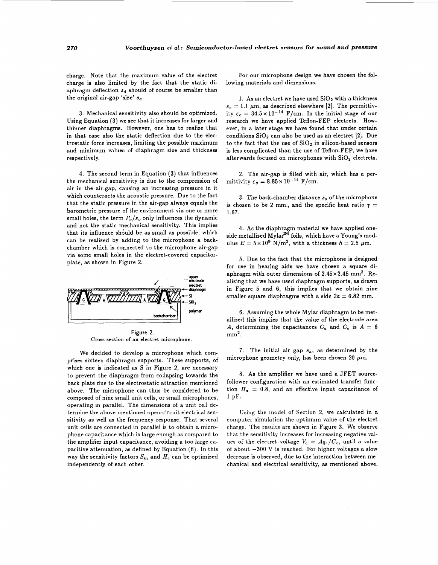<span id="page-3-0"></span>charge. Note that the maximum value of the electret charge is also limited by the fact that the static diaphragm deflection  $s_d$  should of course be smaller than the original air-gap 'size' *sa.* 

3. Mechanical sensitivity also should be optimized. Using Equation (3) we see that it increases for larger and thinner diaphragms. However, one has to realize that in that case also the static deflection due to the electrostatic force increases, limiting the possible maximum and minimum values of diaphragm size and thickness respectively.

**4.** The second term in Equation **(3)** that influences the mechanical sensitivity is due to the compression of air in the air-gap, causing an increasing pressure in it which counteracts the acoustic pressure. Due to the fact that the static pressure in the air-gap always equals the barometric pressure of the environment via one or more small holes, the term  $P_o/s_o$  only influences the dynamic and not the static mechanical sensitivity. This implies that its influence shduld be **as** small **as** possible, which can be realized by adding to the microphone a backchamber which is connected to the microphone air-gap via some small holes in the electret-covered capacitorplate, **as** shown in Figure 2.



Cross-section of **an** electret microphone.

We decided to develop a microphone which comprises sixteen diaphragm supports. These supports, of which one is indicated as S in Figure **2,** are necessary to prevent the diaphragm from collapsing towards the back plate due to the electrostatic attraction mentioned above. The microphone can thus be considered to be composed of nine small unit cells, or small microphones, operating in parallel. The dimensions of a unit cell determine the above mentioned open-circuit electrical sensitivity **as** well **as** the frequency response. That several unit cells are connected in parallel is to obtain **a** microphone capacitance which is large enough as compared to the amplifier input capacitance, avoiding a too large capacitive attenuation, **as** defined by Equation (6). In this way the sensitivity factors  $S_m$  and  $H_c$  can be optimized independently of each other.

For our microphone design we have chosen the following materials and dimensions.

1. As an electret we have used  $SiO<sub>2</sub>$  with a thickness  $s_e = 1.1 \ \mu \text{m}$ , as described elsewhere [2]. The permittivity  $\varepsilon_e = 34.5 \times 10^{-14}$  F/cm. In the initial stage of our research we have applied Teflon-FEP electrets. **How**ever, in a later stage we have found that under certain conditions Si02 can also be used **as** an electret [2]. Due to the fact that the use of  $SiO<sub>2</sub>$  in silicon-based sensors is less complicated than the use of Teflon-FEP, we have afterwards focused on microphones with  $SiO<sub>2</sub>$  electrets.

2. The air-gap is filled with air, which has a permittivity  $\varepsilon_a = 8.85 \times 10^{-14}$  F/cm.

3. The back-chamber distance  $s_0$  of the microphone is chosen to be 2 mm., and the specific heat ratio  $\gamma =$ 1.67.

**4.** As the diaphragm material we have applied oneside metallized  $Mylar^{m'}$  foils, which have a Young's modulus  $E = 5 \times 10^9$  N/m<sup>2</sup>, with a thickness  $h = 2.5$   $\mu$ m.

5. Due to the fact that the microphone is designed for use in hearing aids we have chosen a square diaphragm with outer dimensions of  $2.45 \times 2.45$  mm<sup>2</sup>. Realizing that we have used diaphragm supports, **as** drawn in [Figure 5](#page-5-0) and **6,** this implies that we obtain nine smaller square diaphragms with a side  $2a = 0.82$  mm.

6. Assuming the whole Mylar diaphragm to be metallized this implies that the value of the electrode area *A*, determining the capacitances  $C_a$  and  $C_e$  is  $A = 6$  $\mathrm{mm}^2.$ 

7. The initial air gap *sa,* **as** determined by the microphone geometry only, has been chosen 20  $\mu$ m.

**8. As** the amplifier we have used a JFET sourcefollower configuration with an estimated transfer function  $H_a = 0.8$ , and an effective input capacitance of 1 pF.

Using the model of Section 2, we calculated in a computer simulation the optimum value of the electret charge. The results are shown in Figure 3. We observe that the sensitivity increases for increasing negative values of the electret voltage  $V_e = A q_e / C_e$ , until a value of about  $-300$  V is reached. For higher voltages a slow decrease is observed, due to the interaction between mechanical and electrical sensitivity, **as** mentioned above.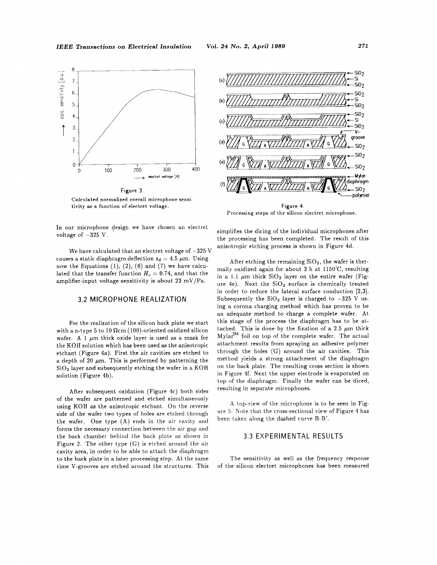**IEEE Transactions on Electrical Insulation** 



Calculated normalized overall microphone sensitivity as a function of electret voltage.

In our microphone design we have chosen an electret voltage of  $-325$  V.

We have calculated that an electret voltage of  $-325$  V causes a static diaphragm deflection  $s_d = 4.5 \mu$ m. Using now the Equations  $(1)$ ,  $(2)$ ,  $(6)$  and  $(7)$  we have calculated that the transfer function  $H_c = 0.74$ , and that the amplifier-input voltage sensitivity is about 23 mV/Pa.

#### 3.2 MICROPHONE REALIZATION

For the realization of the silicon back plate we start with a n-type 5 to 10  $\Omega$ cm (100)-oriented oxidized silicon wafer. A 1 pm thick oxide layer is used **as** a mask for the KOH solution which has been used **as** the anisotropic etchant (Figure 4a). First the air cavities are etched to a depth of 20  $\mu$ m. This is performed by patterning the Si02 layer and subsequently etching the wafer in **a** KOH solution (Figure 4b).

After subsequent oxidation (Figure 4c) both sides of the wafer are patterned and etched simultaneously using KOH **as** the anisotropic etchant. On the reverse side of the wafer two types of holes are etched through the wafer. One type (A) ends in the air cavity and forms the necessary connection between the air gap and the back chamber behind the back plate as shown in [Figure 2.](#page-3-0) The other type (G) is etched around the air cavity area, in order to be able to attach the diaphragm to the back plate in **a** later processing step. At the same time V-grooves are etched around the structures. This



Processing steps of the silicon electret microphone.

simplifies the dicing of the individual microphones after the processing has been completed. The result of this anisotropic etching process is shown in Figure 4d.

After etching the remaining  $SiO<sub>2</sub>$ , the wafer is thermally oxidized again for about 3 h at 1150'C, resulting in a 1.1  $\mu$ m thick  $SiO<sub>2</sub>$  layer on the entire wafer (Figure 4e). Next the  $SiO<sub>2</sub>$  surface is chemically treated in order to reduce the lateral surface conduction [2,3]. Subsequently the  $SiO<sub>2</sub>$  layer is charged to  $-325$  V using **a** corona charging method which has proven to be an adequate method to charge **a** complete wafer. At this stage of the process the diaphragm has to be attached. This is done by the fixation of a 2.5  $\mu$ m thick  $Mylar^{TM}$  foil on top of the complete wafer. The actual attachment results from spraying an adhesive polymer through the holes (G) around the air cavities. This method yields **a** strong attachment of the diaphragm on the back plate. The resulting cross section is shown in Figure 4f. Next the upper electrode is evaporated on top of the diaphragm. Finally the wafer can be diced, resulting in separate microphones.

**A** top-view of the microphone is to be seen in Fig[ure 5.](#page-5-0) Note that the cross-sectional view of Figure 4 has been taken along the dashed curve B-B'.

## 3.3 EXPERIMENTAL RESULTS

The sensitivity as well as the frequency response of the silicon electret microphones has been measured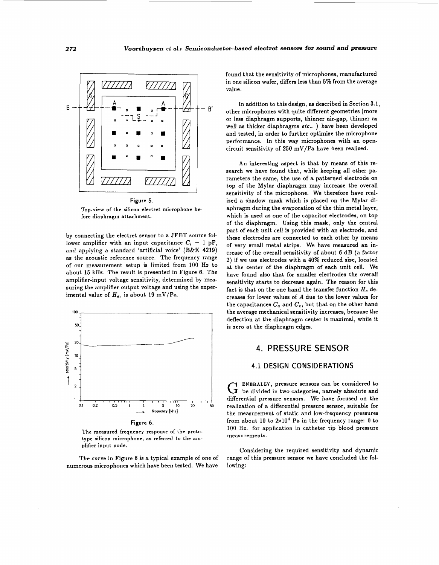**Voorthuyaen et** *al.:* **Semiconductor-based electret sensors for sound and pressure** 

<span id="page-5-0"></span>

Top-view of the silicon electret microphone before diaphragm attachment.

by connecting the electret sensor to a JFET source follower amplifier with an input capacitance  $C_i = 1$  pF. and applying a standard 'artificial voice' (B&K 4219) as the acoustic reference source. The frequency range of our measurement setup is limited from 100 **Hs** to about 15 kHz. The result is presented in Figure 6. The amplifier-input voltage sensitivity, determined by measuring the amplifier output voltage and using the experimental value of  $H_a$ , is about 19 mV/Pa.





The measured frequency response of the prototype silicon microphone, **as** referred to the amplifier input node.

The curve in Figure 6 is a typical example of one of numerous microphones which have been tested. We have

found that the sensitivity of microphones, manufactured in one silicon wafer, differs less than 5% from the average value.

In addition to this design, **as** described in Section 3.1, other microphones with quite different geometries (more or less diaphragm supports, thinner air-gap, thinner **as**  well as thicker diaphragms *etc..* ) have been developed and tested, in order to further optimize the microphone performance. In this way microphones with an opencircuit sensitivity of  $250$  mV/Pa have been realized.

An interesting aspect is that by means of this research we have found that, while keeping all other parameters the same, the use of a patterned electrode on top of the Mylar diaphragm may increase the overall sensitivity of the microphone. We therefore have realized a shadow mask which is placed on the Mylar diaphragm during the evaporation of the thin metal layer, which is used as one of the capacitor electrodes, on top of the diaphragm. Using this mask, only the central part of each unit cell is provided with an electrode, and these electrodes are connected to each other by means of very small metal strips. We have measured an increase of the overall sensitivity of about 6 dB (a factor 2) if we use electrodes with a **40%** reduced size, located at the center of the diaphragm of each unit cell. We have found **also** that for smaller electrodes the overall sensitivity starts to decrease again. The reason for this fact is that on the one hand the transfer function  $H_c$  decreases for lower values of A due to the lower values for the capacitances  $C_a$  and  $C_e$ , but that on the other hand the average mechanical sensitivity increases, because the deflection at the diaphragm center is maximal, while it is zero at the diaphragm edges.

# **4. PRESSURE SENSOR**

## **4.1 DESIGN CONSIDERATIONS**

G ENERALLY, pressure sensors can be considered to G be divided in two categories, namely absolute and differential pressure sensors. We have focused on the realization of a differential pressure sensor, suitable for the measurement of static and low-frequency pressures from about 10 to  $2\times10^4$  Pa in the frequency range: 0 to 100 Hz. for application in catheter tip blood pressure measurements.

Considering the required sensitivity and dynamic range of this pressure sensor we have concluded the following: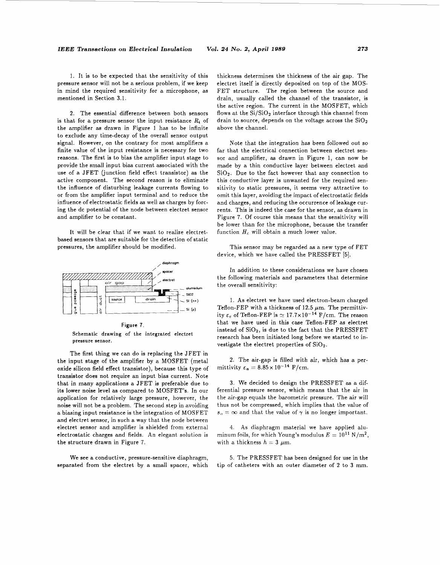<span id="page-6-0"></span>1. It is to be expected that the sensitivity of this pressure sensor will not be a serious problem, if we keep in mind the required sensitivity for a microphone, as mentioned in Section 3.1.

2. The essential difference between both sensors is that for a pressure sensor the input resistance  $R_i$  of the amplifier **as** drawn in [Figure 1](#page-1-0) has to be infinite to exclude any time-decay of the overall sensor output signal. However, on the contrary for most amplifiers **a**  finite value of the input resistance is necessary for two reasons. The first is to bias the amplifier input stage to provide the small input bias current associated with the use of a JFET (junction field effect transistor) **as** the active component. The second reason is to eliminate the influence of disturbing leakage currents flowing to or from the amplifier input terminal and to reduce the influence of electrostatic fields **as** well **as** charges by forcing the dc potential of the node between electret sensor and amplifier to be constant.

It will be clear that if we want to realize electretbased sensors that are suitable for the detection of static pressures, the amplifier should be modified.



Figure **7.**  Schematic drawing of the integrated electret pressure sensor.

The first thing we can do is replacing the JFET in the input stage of the amplifier by a MOSFET (metal oxide silicon field effect transistor), because this type of transistor does not require an input bias current. Note that in many applications a JFET is preferable due to its lower noise level **as** compared to MOSFET's. In our application for relatively large pressure, however, the noise will not be a problem. The second step in avoiding a biasing input resistance is the integration of MOSFET and electret sensor, in such a way that the node between electret sensor and amplifier is shielded from external electrostatic charges and fields. An elegant solution is the structure drawn in Figure 7.

We see a conductive, pressure-sensitive diaphragm, separated from the electret by a small spacer, which thickness determines the thickness of the air gap. The electret itself is directly deposited on top of the MOS-FET structure. The region between the source and drain, usually called the channel of the transistor, is the active region. The current in the MOSFET, which flows at the  $Si/SiO<sub>2</sub>$  interface through this channel from drain to source, depends on the voltage across the  $SiO<sub>2</sub>$ above the channel.

Note that the integration has been followed out so far that the electrical connection between electret sensor and amplifier, **as** drawn in Figure 1, can now be made by a thin conductive layer between electret and  $SiO<sub>2</sub>$ . Due to the fact however that any connection to this conductive layer is unwanted for the required sensitivity to static pressures, it seems very attractive to omit this layer, avoiding the impact of electrostatic fields and charges, and reducing the occurrence of leakage currents. This is indeed the case for the sensor, **as** drawn in Figure 7. Of course this means that the sensitivity will be lower than for the microphone, because the transfer function  $H_c$  will obtain a much lower value.

This sensor may be regarded as a new type of FET device, which we have called the PRESSFET *[5].* 

In addition to these considerations we have chosen the following materials and parameters that determine the overall sensitivity:

1. **As** electret we have used electron-beam charged Teflon-FEP with a thickness of 12.5  $\mu$ m. The permittivity  $\varepsilon_e$  of Teflon-FEP is  $\simeq 17.7 \times 10^{-14}$  F/cm. The reason that we have used in this case Teflon-FEP **as** electret instead of  $SiO<sub>2</sub>$ , is due to the fact that the PRESSFET research has been initiated long before we started to investigate the electret properties of SiO2.

**2.** The air-gap is filled with air, which has a permittivity  $\epsilon_a = 8.85 \times 10^{-14}$  F/cm.

3. We decided to design the PRESSFET as a differential pressure sensor, which means that the air in the air-gap equals the barometric pressure. The air will thus not be compressed, which implies that the value of  $s_o = \infty$  and that the value of  $\gamma$  is no longer important.

4. **As** diaphragm material we have applied aluminum foils, for which Young's modulus  $E = 10^{11} \text{ N/m}^2$ , with a thickness  $h = 3 \mu m$ .

5. The PRESSFET has been designed for use in the tip of catheters with an outer diameter of 2 to 3 mm.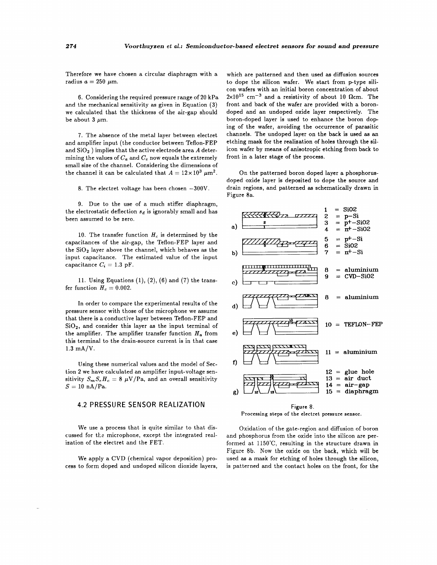Therefore we have chosen a circular diaphragm with a radius  $a = 250 \mu m$ .

*6.* Considering the required pressure range of **20** kPa and the mechanical sensitivity as given in Equation **(3)**  we calculated that the thickness of the air-gap should be about  $3 \mu m$ .

7. The absence of the metal layer between electret and amplifier input (the conductor between Teflon-FEP and Si02 ) implies that the active electrode area *A* determining the values of  $C_a$  and  $C_c$  now equals the extremely small size of the channel. Considering the dimensions of the channel it can be calculated that  $A = 12 \times 10^3 \ \mu \text{m}^2$ .

8. The electret voltage has been chosen  $-300V$ .

9. Due to the use of a much stiffer diaphragm, the electrostatic deflection  $s_d$  is ignorably small and has been assumed to be zero.

10. The transfer function  $H_c$  is determined by the capacitances of the air-gap, the Teflon-FEP layer and the  $SiO<sub>2</sub>$  layer above the channel, which behaves as the input capacitance. The estimated value of the input capacitance  $C_i = 1.3$  pF.

**11.** Using Equations **(l), (2),** (6) and (7) the transfer function  $H_c = 0.002$ .

In order to compare the experimental results of the pressure sensor with those of the microphone we assume that there is a conductive layer between Teflon-FEP and  $SiO<sub>2</sub>$ , and consider this layer as the input terminal of the amplifier. The amplifier transfer function  $H_a$  from this terminal to the drain-source current is in that case **1.3** mA/V.

Using these numerical values and the model of Section **2** we have calculated an amplifier input-voltage sensitivity  $S_m S_e H_c = 8 \mu V/Pa$ , and an overall sensitivity  $S = 10 \text{ nA/Pa}.$ 

## **4.2 PRESSURE SENSOR REALIZATION**

We use a process that is quite similar to that discussed for the microphone, except the integrated realization of the electret and the FET.

We apply a CVD (chemical vapor deposition) process to form doped and undoped silicon dioxide layers,

which are patterned and then used as diffusion sources to dope the silicon wafer. We start from p-type silicon wafers with an initial boron concentration of about  $2 \times 10^{15}$  cm<sup>-3</sup> and a resistivity of about 10  $\Omega$ cm. The front and back of the wafer are provided with a borondoped and an undoped oxide layer respectively. The boron-doped layer is used to enhance the boron doping of the wafer, avoiding the occurrence of parasitic channels. The undoped layer on the back **is** used **a8** an etching mask for the realization of holes through the silicon wafer by means of anisotropic etching from back to front in a later stage of the process.

On the patterned boron doped layer a phosphorusdoped oxide layer is deposited to dope the source and drain regions, and patterned **as** schematically drawn in Figure 8a.



**Figure 8. Processing steps of the electret pressure sensor.** 

Oxidation of the gate-region and diffusion of boron and phosphorus from the oxide into the silicon are performed at **115O"C,** resulting in the structure drawn in Figure 8b. Now the oxide on the back, which will be used **as** a mask for etching of holes through the silicon, is patterned and the contact holes on the front, for the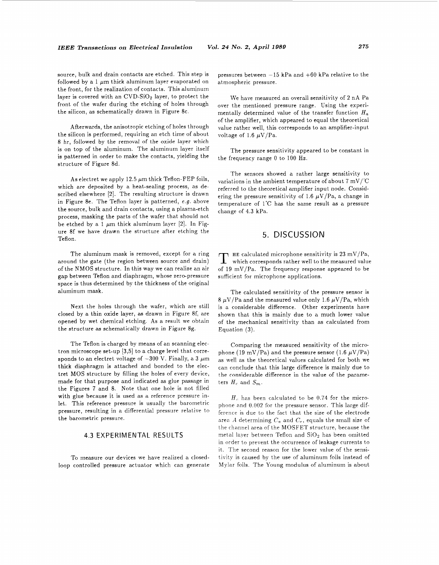source, bulk and drain contacts are etched. This step is followed by a 1  $\mu$ m thick aluminum layer evaporated on the front, for the realization of contacts. This aluminum layer is covered with an  $CVD-SiO<sub>2</sub>$  layer, to protect the front of the wafer during the etching of holes through the silicon, as schematically drawn in Figure 8c.

Afterwards, the anisotropic etching of holes through the silicon is performed, requiring an etch time of about 8 hr, followed by the removal of the oxide layer which is on top of the aluminum. The aluminum layer itself is patterned in order to make the contacts, yielding the structure of Figure 8d.

As electret we apply 12.5  $\mu$ m thick Teflon-FEP foils, which are deposited by a heat-sealing process, as described elsewhere [2]. The resulting structure is drawn in Figure 8e. The Teflon layer is patterned, *e.g.* above the source, bulk and drain contacts, using a plasma-etch process, masking the parts of the wafer that should not be etched by a 1  $\mu$ m thick aluminum layer [2]. In Figure 8f we have drawn the structure after etching the Teflon.

The aluminum mask is removed, except for **a** ring around the gate (the region between source and drain) of the NMOS structure. In this way we can realize an air gap between Teflon and diaphragm, whose zero-pressure space is thus determined by the thickness of the original aluminum mask.

Next the holes through the wafer, which are still closed by a thin oxide layer, **as** drawn in Figure 8f, are opened by wet chemical etching. As a result we obtain the structure as schematically drawn in Figure 8g.

The Teflon is charged by means of an scanning electron microscope set-up [3,5] to a charge level that corresponds to an electret voltage of  $-300$  V. Finally, a 3  $\mu$ m thick diaphragm is attached and bonded to the electret MOS structure by filling the holes of every device, made for that purpose and indicated as glue passage in the [Figures 7](#page-6-0) and 8. Note that one hole is not filled with glue because it is used as a reference pressure inlet. This reference pressure is usually the barometric pressure, resulting in a differential pressure relative to the barometric pressure.

#### 4.3 EXPERIMENTAL RESULTS

To measure our devices we have realized a closedloop controlled pressure actuator which can generate

pressures between  $-15$  kPa and  $+60$  kPa relative to the atmospheric pressure.

We have measured an overall sensitivity of 2 nA Pa over the mentioned pressure range. Using the experimentally determined value of the transfer function *H,*  of the amplifier, which appeared to equal the theoretical value rather well, this corresponds to an amplifier-input voltage of 1.6  $\mu$ V/Pa.

The pressure sensitivity appeared to be constant in the frequency range 0 to 100 Hz.

The sensors showed a rather large sensitivity to variations in the ambient temperature of about 7 mV/'C referred to the theoretical amplifier input node. Considering the pressure sensitivity of 1.6  $\mu$ V/Pa, a change in temperature of 1°C has the same result as a pressure change of **4.3** kPa.

## 5. DISCUSSION

**HE** calculated microphone sensitivity is  $23 \text{ mV/Pa}$ , which corresponds rather well to the measured value of 19 mV/Pa. The frequency response appeared to be sufficient for microphone applications.

The calculated sensitivity of the pressure sensor is 8  $\mu$ V/Pa and the measured value only 1.6  $\mu$ V/Pa, which is a considerable difference. Other experiments have shown that this is mainly due to a much lower value of the mechanical sensitivity than as calculated from Equation **(3).** 

Comparing the measured sensitivity of the microphone (19 mV/Pa) and the pressure sensor (1.6  $\mu$ V/Pa) as well as the theoretical values calculated for both we can conclude that this large difference is mainly due to the considerable difference in the value of the parameters  $H_c$  and  $S_m$ .

 $H_c$  has been calculated to be 0.74 for the microphone and 0.002 for the pressure sensor. This large difference is due to the fact that the size of the electrode area **A** determining *C,* and *C,,* equals the small size of the channel area of the MOSFET structure, because the metal layer between Teflon and  $SiO<sub>2</sub>$  has been omitted in order to prevent the occurrence of leakage currents to it. The second reason for the lower value of the sensitivity is caused by the use of aluminum foils instead of Mylar foils. The Young modulus of aluminum is about